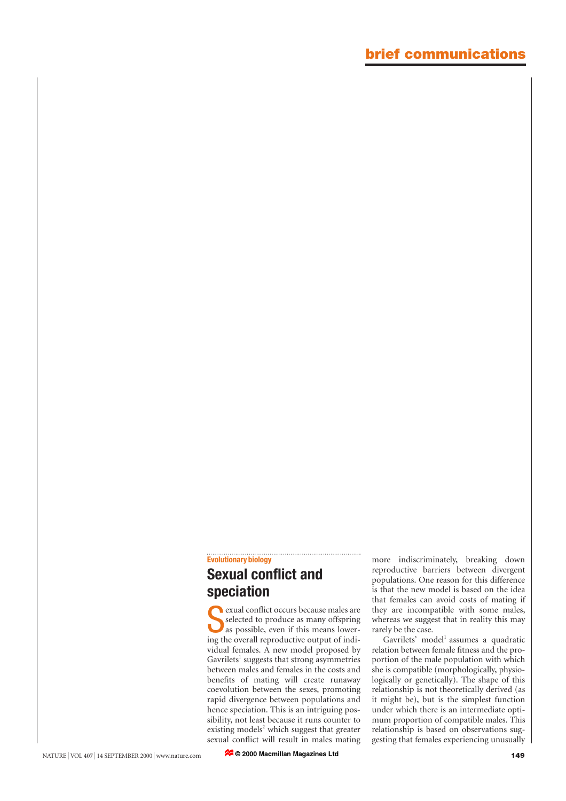## **Evolutionary biology Sexual conflict and**

## **speciation**

Selected to produce as many offspring<br>as possible, even if this means lower-<br>ing the overall reproductive output of indiexual conflict occurs because males are selected to produce as many offspring as possible, even if this means lowervidual females. A new model proposed by Gavrilets<sup>1</sup> suggests that strong asymmetries between males and females in the costs and benefits of mating will create runaway coevolution between the sexes, promoting rapid divergence between populations and hence speciation. This is an intriguing possibility, not least because it runs counter to existing models<sup>2</sup> which suggest that greater sexual conflict will result in males mating

more indiscriminately, breaking down reproductive barriers between divergent populations. One reason for this difference is that the new model is based on the idea that females can avoid costs of mating if they are incompatible with some males, whereas we suggest that in reality this may rarely be the case.

 $G$ avrilets' model<sup>1</sup> assumes a quadratic relation between female fitness and the proportion of the male population with which she is compatible (morphologically, physiologically or genetically). The shape of this relationship is not theoretically derived (as it might be), but is the simplest function under which there is an intermediate optimum proportion of compatible males. This relationship is based on observations suggesting that females experiencing unusually